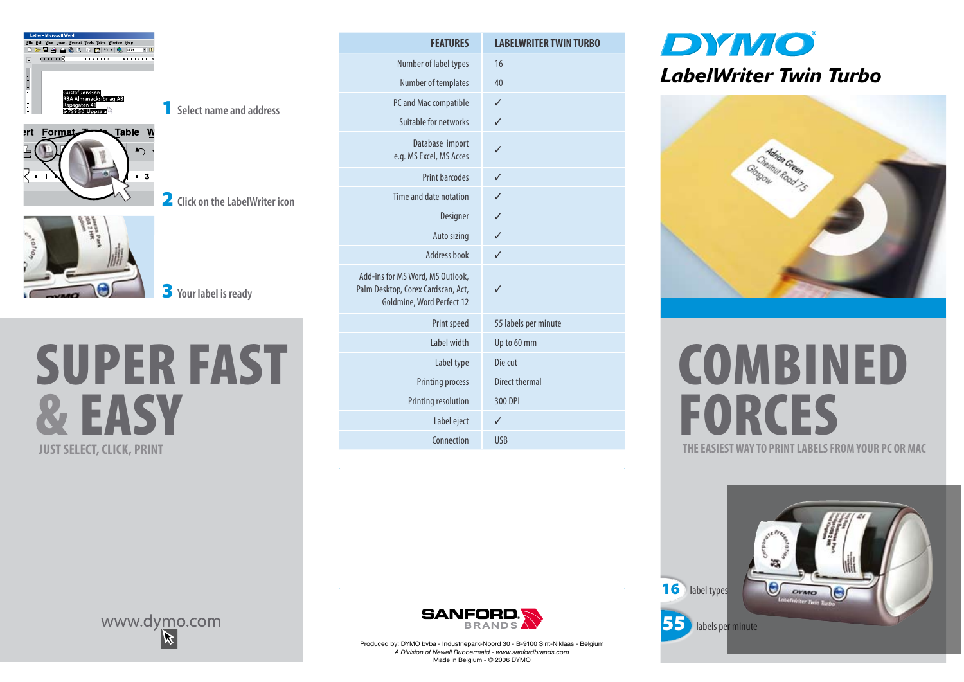

1 **Select name and address**

2 **Click on the LabelWriter icon**



3 **Your label is ready**



| <b>FEATURES</b>                                                                                     | <b>LABELWRITER TWIN TURBO</b> |
|-----------------------------------------------------------------------------------------------------|-------------------------------|
| Number of label types                                                                               | 16                            |
| Number of templates                                                                                 | 40                            |
| PC and Mac compatible                                                                               | ✓                             |
| Suitable for networks                                                                               | ✓                             |
| Database import<br>e.g. MS Excel, MS Acces                                                          | ✓                             |
| Print barcodes                                                                                      | ✓                             |
| Time and date notation                                                                              | J                             |
| Designer                                                                                            | ℐ                             |
| Auto sizing                                                                                         | ✓                             |
| Address book                                                                                        | ℐ                             |
| Add-ins for MS Word, MS Outlook,<br>Palm Desktop, Corex Cardscan, Act,<br>Goldmine, Word Perfect 12 | ℐ                             |
| Print speed                                                                                         | 55 labels per minute          |
| Label width                                                                                         | Up to 60 mm                   |
| Label type                                                                                          | Die cut                       |
| Printing process                                                                                    | Direct thermal                |
| Printing resolution                                                                                 | 300 DPI                       |
| Label eject                                                                                         | ✓                             |
| Connection                                                                                          | <b>USB</b>                    |

### **DYMO** *LabelWriter Twin Turbo*



# **JUST SELECT WAY TO PRINT LABELS FROM YOUR PC OR MAC** COMBINED **FORCES**

16 label types G ovwo 55 labels per minute





Produced by: DYMO bvba - Industriepark-Noord 30 - B-9100 Sint-Niklaas - Belgium *A Division of Newell Rubbermaid - www.sanfordbrands.com* Made in Belgium - © 2006 DYMO